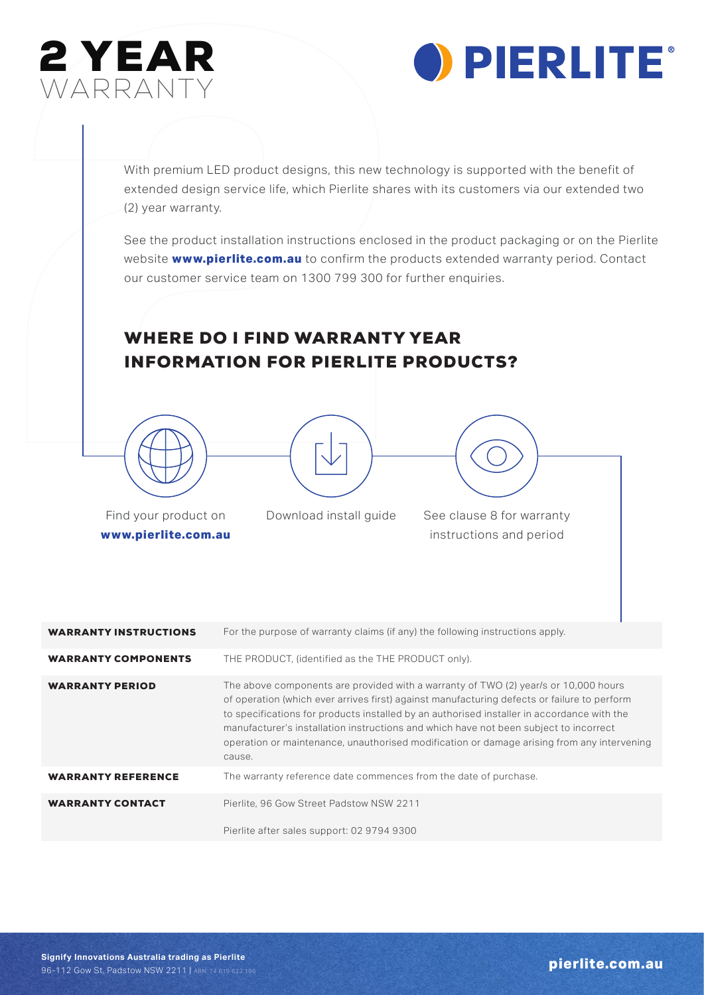



With premium LED product designs, this new technology is supported with the benefit of extended design service life, which Pierlite shares with its customers via our extended two (2) year warranty.

WARRANTY<br>WARRANTY<br>With premium LED product designs, this new tech<br>extended design service life, which Pierlite share:<br>(2) year warranty.<br>See the product installation instructions enclose<br>website www.pierlite.com.au to conf See the product installation instructions enclosed in the product packaging or on the Pierlite website **www.pierlite.com.au** to confirm the products extended warranty period. Contact our customer service team on 1300 799 300 for further enquiries.

## WHERE DO I FIND WARRANTY YEAR INFORMATION FOR PIERLITE PRODUCTS?





Find your product on **www.pierlite.com.au** Download install guide See clause 8 for warranty

instructions and period

| <b>WARRANTY INSTRUCTIONS</b> | For the purpose of warranty claims (if any) the following instructions apply.                                                                                                                                                                                                                                                                                                                                                                                                     |
|------------------------------|-----------------------------------------------------------------------------------------------------------------------------------------------------------------------------------------------------------------------------------------------------------------------------------------------------------------------------------------------------------------------------------------------------------------------------------------------------------------------------------|
| <b>WARRANTY COMPONENTS</b>   | THE PRODUCT, (identified as the THE PRODUCT only).                                                                                                                                                                                                                                                                                                                                                                                                                                |
| <b>WARRANTY PERIOD</b>       | The above components are provided with a warranty of TWO (2) year/s or 10,000 hours<br>of operation (which ever arrives first) against manufacturing defects or failure to perform<br>to specifications for products installed by an authorised installer in accordance with the<br>manufacturer's installation instructions and which have not been subject to incorrect<br>operation or maintenance, unauthorised modification or damage arising from any intervening<br>cause. |
| <b>WARRANTY REFERENCE</b>    | The warranty reference date commences from the date of purchase.                                                                                                                                                                                                                                                                                                                                                                                                                  |
| <b>WARRANTY CONTACT</b>      | Pierlite, 96 Gow Street Padstow NSW 2211                                                                                                                                                                                                                                                                                                                                                                                                                                          |
|                              | Pierlite after sales support: 02 9794 9300                                                                                                                                                                                                                                                                                                                                                                                                                                        |